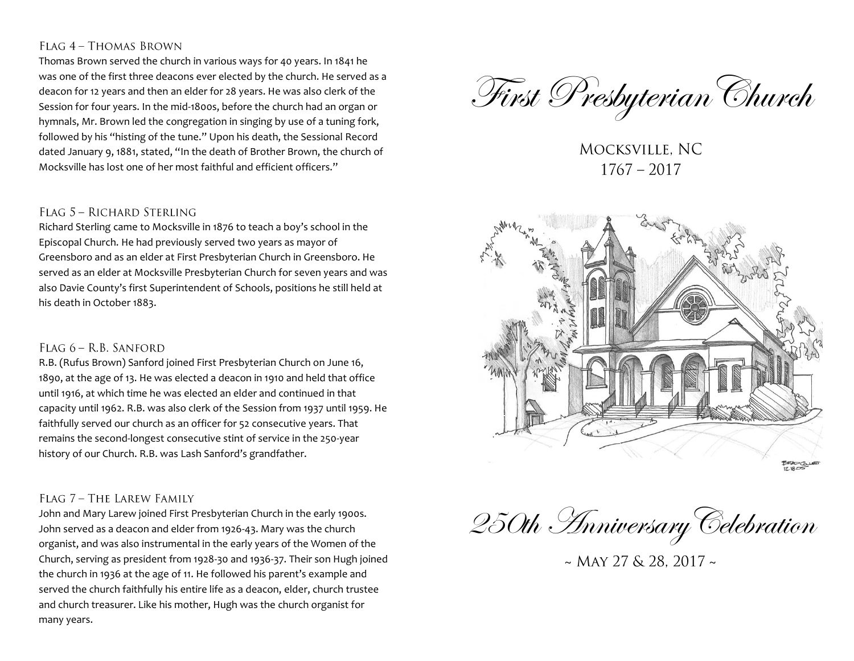# FLAG 4 - THOMAS BROWN

Thomas Brown served the church in various ways for 40 years. In 1841 he was one of the first three deacons ever elected by the church. He served as a deacon for 12 years and then an elder for 28 years. He was also clerk of the Session for four years. In the mid-1800s, before the church had an organ or hymnals, Mr. Brown led the congregation in singing by use of a tuning fork, followed by his "histing of the tune." Upon his death, the Sessional Record dated January 9, 1881, stated, "In the death of Brother Brown, the church of Mocksville has lost one of her most faithful and efficient officers."

#### FLAG 5 - RICHARD STERLING

Richard Sterling came to Mocksville in 1876 to teach a boy's school in the Episcopal Church. He had previously served two years as mayor of Greensboro and as an elder at First Presbyterian Church in Greensboro. He served as an elder at Mocksville Presbyterian Church for seven years and was also Davie County's first Superintendent of Schools, positions he still held at his death in October 1883.

### FLAG 6 - R.B. SANFORD

R.B. (Rufus Brown) Sanford joined First Presbyterian Church on June 16, 1890, at the age of 13. He was elected a deacon in 1910 and held that office until 1916, at which time he was elected an elder and continued in that capacity until 1962. R.B. was also clerk of the Session from 1937 until 1959. He faithfully served our church as an officer for 52 consecutive years. That remains the second-longest consecutive stint of service in the 250-year history of our Church. R.B. was Lash Sanford's grandfather.

### FLAG 7 - THE LAREW FAMILY

John and Mary Larew joined First Presbyterian Church in the early 1900s. John served as a deacon and elder from 1926-43. Mary was the church organist, and was also instrumental in the early years of the Women of the Church, serving as president from 1928-30 and 1936-37. Their son Hugh joined the church in 1936 at the age of 11. He followed his parent's example and served the church faithfully his entire life as a deacon, elder, church trustee and church treasurer. Like his mother, Hugh was the church organist for many years.

First Presbyterian Church

MOCKSVILLE, NC  $1767 - 2017$ 



250th AnniversaryCelebration

 $\sim$  MAY 27 & 28, 2017  $\sim$